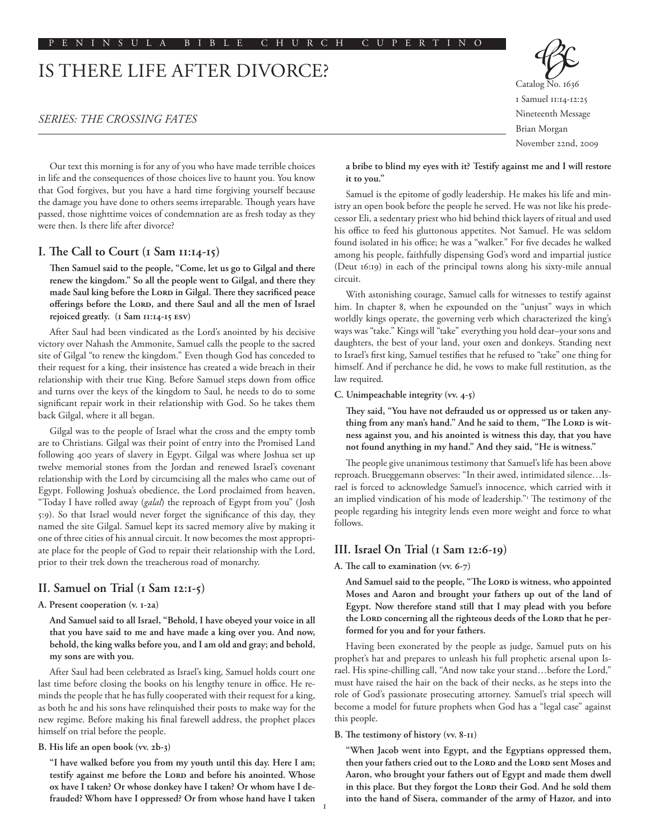# IS THERE LIFE AFTER DIVORCE?

# *SERIES: THE CROSSING FATES*

Catalog No. 1636 1 Samuel 11:14-12:25 Nineteenth Message Brian Morgan November 22nd, 2009

Our text this morning is for any of you who have made terrible choices in life and the consequences of those choices live to haunt you. You know that God forgives, but you have a hard time forgiving yourself because the damage you have done to others seems irreparable. Though years have passed, those nighttime voices of condemnation are as fresh today as they were then. Is there life after divorce?

## **I. The Call to Court (1 Sam 11:14-15)**

**Then Samuel said to the people, "Come, let us go to Gilgal and there renew the kingdom." So all the people went to Gilgal, and there they**  made Saul king before the LORD in Gilgal. There they sacrificed peace offerings before the LORD, and there Saul and all the men of Israel **rejoiced greatly. (1 Sam 11:14-15 esv)**

After Saul had been vindicated as the Lord's anointed by his decisive victory over Nahash the Ammonite, Samuel calls the people to the sacred site of Gilgal "to renew the kingdom." Even though God has conceded to their request for a king, their insistence has created a wide breach in their relationship with their true King. Before Samuel steps down from office and turns over the keys of the kingdom to Saul, he needs to do to some significant repair work in their relationship with God. So he takes them back Gilgal, where it all began.

Gilgal was to the people of Israel what the cross and the empty tomb are to Christians. Gilgal was their point of entry into the Promised Land following 400 years of slavery in Egypt. Gilgal was where Joshua set up twelve memorial stones from the Jordan and renewed Israel's covenant relationship with the Lord by circumcising all the males who came out of Egypt. Following Joshua's obedience, the Lord proclaimed from heaven, "Today I have rolled away (*galal*) the reproach of Egypt from you" (Josh 5:9). So that Israel would never forget the significance of this day, they named the site Gilgal. Samuel kept its sacred memory alive by making it one of three cities of his annual circuit. It now becomes the most appropriate place for the people of God to repair their relationship with the Lord, prior to their trek down the treacherous road of monarchy.

# **II. Samuel on Trial (1 Sam 12:1-5)**

## **A. Present cooperation (v. 1-2a)**

**And Samuel said to all Israel, "Behold, I have obeyed your voice in all that you have said to me and have made a king over you. And now, behold, the king walks before you, and I am old and gray; and behold, my sons are with you.**

After Saul had been celebrated as Israel's king, Samuel holds court one last time before closing the books on his lengthy tenure in office. He reminds the people that he has fully cooperated with their request for a king, as both he and his sons have relinquished their posts to make way for the new regime. Before making his final farewell address, the prophet places himself on trial before the people.

#### **B. His life an open book (vv. 2b-3)**

**"I have walked before you from my youth until this day. Here I am;**  testify against me before the LORD and before his anointed. Whose **ox have I taken? Or whose donkey have I taken? Or whom have I defrauded? Whom have I oppressed? Or from whose hand have I taken**  **a bribe to blind my eyes with it? Testify against me and I will restore it to you."** 

Samuel is the epitome of godly leadership. He makes his life and ministry an open book before the people he served. He was not like his predecessor Eli, a sedentary priest who hid behind thick layers of ritual and used his office to feed his gluttonous appetites. Not Samuel. He was seldom found isolated in his office; he was a "walker." For five decades he walked among his people, faithfully dispensing God's word and impartial justice (Deut 16:19) in each of the principal towns along his sixty-mile annual circuit.

With astonishing courage, Samuel calls for witnesses to testify against him. In chapter 8, when he expounded on the "unjust" ways in which worldly kings operate, the governing verb which characterized the king's ways was "take." Kings will "take" everything you hold dear–your sons and daughters, the best of your land, your oxen and donkeys. Standing next to Israel's first king, Samuel testifies that he refused to "take" one thing for himself. And if perchance he did, he vows to make full restitution, as the law required.

#### **C. Unimpeachable integrity (vv. 4-5)**

**They said, "You have not defrauded us or oppressed us or taken any**thing from any man's hand." And he said to them, "The LORD is wit**ness against you, and his anointed is witness this day, that you have not found anything in my hand." And they said, "He is witness."** 

The people give unanimous testimony that Samuel's life has been above reproach. Brueggemann observes: "In their awed, intimidated silence…Israel is forced to acknowledge Samuel's innocence, which carried with it an implied vindication of his mode of leadership."<sup>1</sup> The testimony of the people regarding his integrity lends even more weight and force to what follows.

## **III. Israel On Trial (1 Sam 12:6-19)**

**A. The call to examination (vv. 6-7)**

And Samuel said to the people, "The LORD is witness, who appointed **Moses and Aaron and brought your fathers up out of the land of Egypt. Now therefore stand still that I may plead with you before**  the Lord concerning all the righteous deeds of the Lord that he per**formed for you and for your fathers.** 

Having been exonerated by the people as judge, Samuel puts on his prophet's hat and prepares to unleash his full prophetic arsenal upon Israel. His spine-chilling call, "And now take your stand…before the Lord," must have raised the hair on the back of their necks, as he steps into the role of God's passionate prosecuting attorney. Samuel's trial speech will become a model for future prophets when God has a "legal case" against this people.

#### **B. The testimony of history (vv. 8-11)**

**"When Jacob went into Egypt, and the Egyptians oppressed them,**  then your fathers cried out to the LORD and the LORD sent Moses and **Aaron, who brought your fathers out of Egypt and made them dwell**  in this place. But they forgot the LORD their God. And he sold them **into the hand of Sisera, commander of the army of Hazor, and into**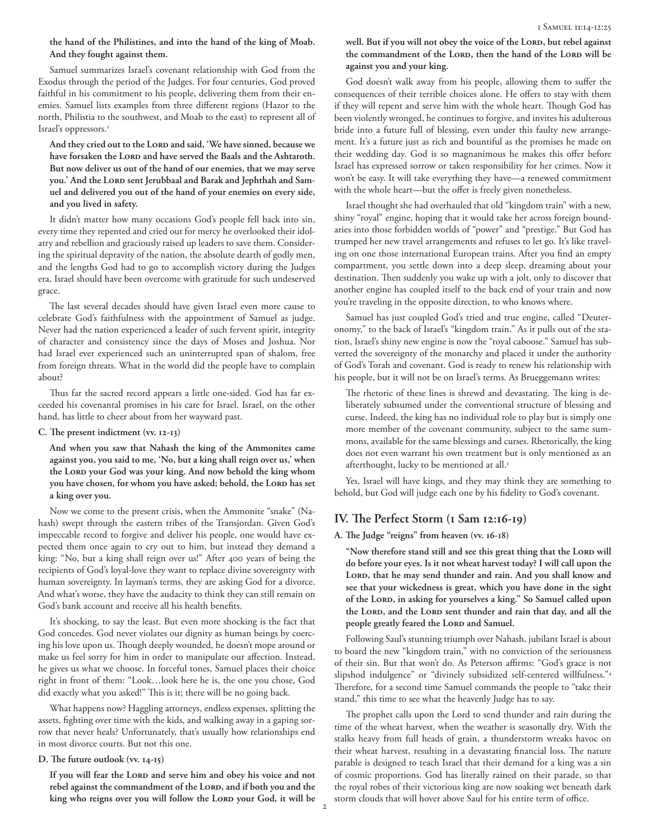## **the hand of the Philistines, and into the hand of the king of Moab. And they fought against them.**

Samuel summarizes Israel's covenant relationship with God from the Exodus through the period of the Judges. For four centuries, God proved faithful in his commitment to his people, delivering them from their enemies. Samuel lists examples from three different regions (Hazor to the north, Philistia to the southwest, and Moab to the east) to represent all of Israel's oppressors.<sup>2</sup>

And they cried out to the LORD and said, 'We have sinned, because we have forsaken the LORD and have served the Baals and the Ashtaroth. **But now deliver us out of the hand of our enemies, that we may serve**  you.' And the LORD sent Jerubbaal and Barak and Jephthah and Sam**uel and delivered you out of the hand of your enemies on every side, and you lived in safety.** 

It didn't matter how many occasions God's people fell back into sin, every time they repented and cried out for mercy he overlooked their idolatry and rebellion and graciously raised up leaders to save them. Considering the spiritual depravity of the nation, the absolute dearth of godly men, and the lengths God had to go to accomplish victory during the Judges era, Israel should have been overcome with gratitude for such undeserved grace.

The last several decades should have given Israel even more cause to celebrate God's faithfulness with the appointment of Samuel as judge. Never had the nation experienced a leader of such fervent spirit, integrity of character and consistency since the days of Moses and Joshua. Nor had Israel ever experienced such an uninterrupted span of shalom, free from foreign threats. What in the world did the people have to complain about?

Thus far the sacred record appears a little one-sided. God has far exceeded his covenantal promises in his care for Israel. Israel, on the other hand, has little to cheer about from her wayward past.

## **C. The present indictment (vv. 12-13)**

**And when you saw that Nahash the king of the Ammonites came against you, you said to me, 'No, but a king shall reign over us,' when**  the Lord your God was your king. And now behold the king whom you have chosen, for whom you have asked; behold, the LORD has set **a king over you.** 

Now we come to the present crisis, when the Ammonite "snake" (Nahash) swept through the eastern tribes of the Transjordan. Given God's impeccable record to forgive and deliver his people, one would have expected them once again to cry out to him, but instead they demand a king: "No, but a king shall reign over us!" After 400 years of being the recipients of God's loyal-love they want to replace divine sovereignty with human sovereignty. In layman's terms, they are asking God for a divorce. And what's worse, they have the audacity to think they can still remain on God's bank account and receive all his health benefits.

It's shocking, to say the least. But even more shocking is the fact that God concedes. God never violates our dignity as human beings by coercing his love upon us. Though deeply wounded, he doesn't mope around or make us feel sorry for him in order to manipulate our affection. Instead, he gives us what we choose. In forceful tones, Samuel places their choice right in front of them: "Look…look here he is, the one you chose, God did exactly what you asked!" This is it; there will be no going back.

What happens now? Haggling attorneys, endless expenses, splitting the assets, fighting over time with the kids, and walking away in a gaping sorrow that never heals? Unfortunately, that's usually how relationships end in most divorce courts. But not this one.

#### **D. The future outlook (vv. 14-15)**

If you will fear the LORD and serve him and obey his voice and not rebel against the commandment of the LORD, and if both you and the king who reigns over you will follow the Lord your God, it will be well. But if you will not obey the voice of the LORD, but rebel against the commandment of the Lord, then the hand of the Lord will be **against you and your king.**

God doesn't walk away from his people, allowing them to suffer the consequences of their terrible choices alone. He offers to stay with them if they will repent and serve him with the whole heart. Though God has been violently wronged, he continues to forgive, and invites his adulterous bride into a future full of blessing, even under this faulty new arrangement. It's a future just as rich and bountiful as the promises he made on their wedding day. God is so magnanimous he makes this offer before Israel has expressed sorrow or taken responsibility for her crimes. Now it won't be easy. It will take everything they have––a renewed commitment with the whole heart––but the offer is freely given nonetheless.

Israel thought she had overhauled that old "kingdom train" with a new, shiny "royal" engine, hoping that it would take her across foreign boundaries into those forbidden worlds of "power" and "prestige." But God has trumped her new travel arrangements and refuses to let go. It's like traveling on one those international European trains. After you find an empty compartment, you settle down into a deep sleep, dreaming about your destination. Then suddenly you wake up with a jolt, only to discover that another engine has coupled itself to the back end of your train and now you're traveling in the opposite direction, to who knows where.

Samuel has just coupled God's tried and true engine, called "Deuteronomy," to the back of Israel's "kingdom train." As it pulls out of the station, Israel's shiny new engine is now the "royal caboose." Samuel has subverted the sovereignty of the monarchy and placed it under the authority of God's Torah and covenant. God is ready to renew his relationship with his people, but it will not be on Israel's terms. As Brueggemann writes:

The rhetoric of these lines is shrewd and devastating. The king is deliberately subsumed under the conventional structure of blessing and curse. Indeed, the king has no individual role to play but is simply one more member of the covenant community, subject to the same summons, available for the same blessings and curses. Rhetorically, the king does not even warrant his own treatment but is only mentioned as an afterthought, lucky to be mentioned at all.<sup>3</sup>

Yes, Israel will have kings, and they may think they are something to behold, but God will judge each one by his fidelity to God's covenant.

# **IV. The Perfect Storm (1 Sam 12:16-19)**

#### **A. The Judge "reigns" from heaven (vv. 16-18)**

"Now therefore stand still and see this great thing that the LORD will **do before your eyes. Is it not wheat harvest today? I will call upon the**  LORD, that he may send thunder and rain. And you shall know and **see that your wickedness is great, which you have done in the sight**  of the LORD, in asking for yourselves a king." So Samuel called upon the LORD, and the LORD sent thunder and rain that day, and all the people greatly feared the LORD and Samuel.

Following Saul's stunning triumph over Nahash, jubilant Israel is about to board the new "kingdom train," with no conviction of the seriousness of their sin. But that won't do. As Peterson affirms: "God's grace is not slipshod indulgence" or "divinely subsidized self-centered willfulness."4 Therefore, for a second time Samuel commands the people to "take their stand," this time to see what the heavenly Judge has to say.

The prophet calls upon the Lord to send thunder and rain during the time of the wheat harvest, when the weather is seasonally dry. With the stalks heavy from full heads of grain, a thunderstorm wreaks havoc on their wheat harvest, resulting in a devastating financial loss. The nature parable is designed to teach Israel that their demand for a king was a sin of cosmic proportions. God has literally rained on their parade, so that the royal robes of their victorious king are now soaking wet beneath dark storm clouds that will hover above Saul for his entire term of office.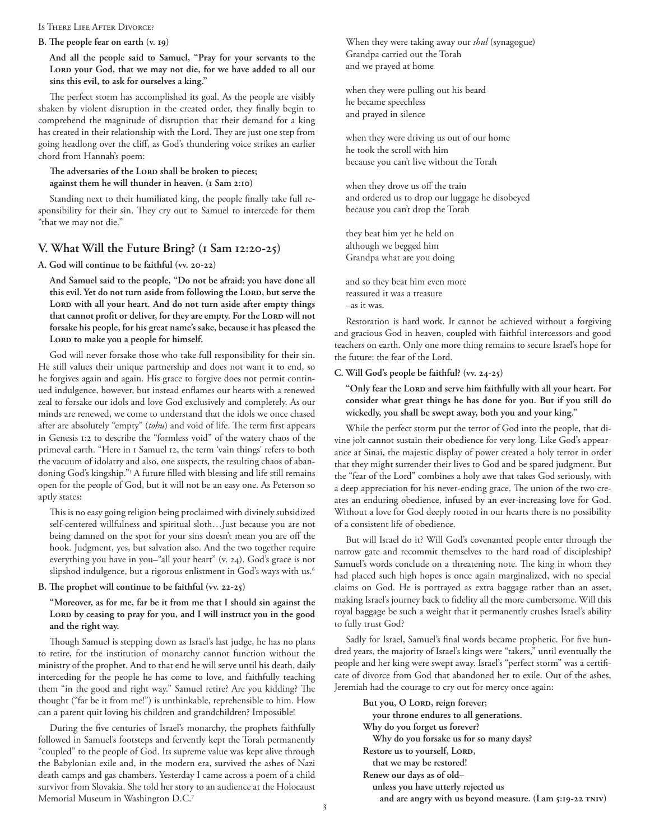#### Is There Life After Divorce?

#### **B. The people fear on earth (v. 19)**

**And all the people said to Samuel, "Pray for your servants to the**  Lord your God, that we may not die, for we have added to all our **sins this evil, to ask for ourselves a king."** 

The perfect storm has accomplished its goal. As the people are visibly shaken by violent disruption in the created order, they finally begin to comprehend the magnitude of disruption that their demand for a king has created in their relationship with the Lord. They are just one step from going headlong over the cliff, as God's thundering voice strikes an earlier chord from Hannah's poem:

### The adversaries of the LORD shall be broken to pieces; **against them he will thunder in heaven. (1 Sam 2:10)**

Standing next to their humiliated king, the people finally take full responsibility for their sin. They cry out to Samuel to intercede for them "that we may not die."

## **V. What Will the Future Bring? (1 Sam 12:20-25)**

**A. God will continue to be faithful (vv. 20-22)**

**And Samuel said to the people, "Do not be afraid; you have done all**  this evil. Yet do not turn aside from following the LORD, but serve the Lord with all your heart. And do not turn aside after empty things that cannot profit or deliver, for they are empty. For the Lord will not **forsake his people, for his great name's sake, because it has pleased the**  LORD to make you a people for himself.

God will never forsake those who take full responsibility for their sin. He still values their unique partnership and does not want it to end, so he forgives again and again. His grace to forgive does not permit continued indulgence, however, but instead enflames our hearts with a renewed zeal to forsake our idols and love God exclusively and completely. As our minds are renewed, we come to understand that the idols we once chased after are absolutely "empty" (*tohu*) and void of life. The term first appears in Genesis 1:2 to describe the "formless void" of the watery chaos of the primeval earth. "Here in 1 Samuel 12, the term 'vain things' refers to both the vacuum of idolatry and also, one suspects, the resulting chaos of abandoning God's kingship."5 A future filled with blessing and life still remains open for the people of God, but it will not be an easy one. As Peterson so aptly states:

This is no easy going religion being proclaimed with divinely subsidized self-centered willfulness and spiritual sloth…Just because you are not being damned on the spot for your sins doesn't mean you are off the hook. Judgment, yes, but salvation also. And the two together require everything you have in you–"all your heart" (v. 24). God's grace is not slipshod indulgence, but a rigorous enlistment in God's ways with us.<sup>6</sup>

#### **B. The prophet will continue to be faithful (vv. 22-25)**

**"Moreover, as for me, far be it from me that I should sin against the**  Lord by ceasing to pray for you, and I will instruct you in the good **and the right way.** 

Though Samuel is stepping down as Israel's last judge, he has no plans to retire, for the institution of monarchy cannot function without the ministry of the prophet. And to that end he will serve until his death, daily interceding for the people he has come to love, and faithfully teaching them "in the good and right way." Samuel retire? Are you kidding? The thought ("far be it from me!") is unthinkable, reprehensible to him. How can a parent quit loving his children and grandchildren? Impossible!

During the five centuries of Israel's monarchy, the prophets faithfully followed in Samuel's footsteps and fervently kept the Torah permanently "coupled" to the people of God. Its supreme value was kept alive through the Babylonian exile and, in the modern era, survived the ashes of Nazi death camps and gas chambers. Yesterday I came across a poem of a child survivor from Slovakia. She told her story to an audience at the Holocaust Memorial Museum in Washington D.C.7

When they were taking away our *shul* (synagogue) Grandpa carried out the Torah and we prayed at home

when they were pulling out his beard he became speechless and prayed in silence

when they were driving us out of our home he took the scroll with him because you can't live without the Torah

when they drove us off the train and ordered us to drop our luggage he disobeyed because you can't drop the Torah

they beat him yet he held on although we begged him Grandpa what are you doing

and so they beat him even more reassured it was a treasure –as it was.

Restoration is hard work. It cannot be achieved without a forgiving and gracious God in heaven, coupled with faithful intercessors and good teachers on earth. Only one more thing remains to secure Israel's hope for the future: the fear of the Lord.

## **C. Will God's people be faithful? (vv. 24-25)**

"Only fear the LORD and serve him faithfully with all your heart. For **consider what great things he has done for you. But if you still do wickedly, you shall be swept away, both you and your king."** 

While the perfect storm put the terror of God into the people, that divine jolt cannot sustain their obedience for very long. Like God's appearance at Sinai, the majestic display of power created a holy terror in order that they might surrender their lives to God and be spared judgment. But the "fear of the Lord" combines a holy awe that takes God seriously, with a deep appreciation for his never-ending grace. The union of the two creates an enduring obedience, infused by an ever-increasing love for God. Without a love for God deeply rooted in our hearts there is no possibility of a consistent life of obedience.

But will Israel do it? Will God's covenanted people enter through the narrow gate and recommit themselves to the hard road of discipleship? Samuel's words conclude on a threatening note. The king in whom they had placed such high hopes is once again marginalized, with no special claims on God. He is portrayed as extra baggage rather than an asset, making Israel's journey back to fidelity all the more cumbersome. Will this royal baggage be such a weight that it permanently crushes Israel's ability to fully trust God?

Sadly for Israel, Samuel's final words became prophetic. For five hundred years, the majority of Israel's kings were "takers," until eventually the people and her king were swept away. Israel's "perfect storm" was a certificate of divorce from God that abandoned her to exile. Out of the ashes, Jeremiah had the courage to cry out for mercy once again:

But you, O Lord, reign forever;  **your throne endures to all generations. Why do you forget us forever? Why do you forsake us for so many days? Restore us to yourself, LORD, that we may be restored! Renew our days as of old– unless you have utterly rejected us and are angry with us beyond measure. (Lam 5:19-22 tniv)**